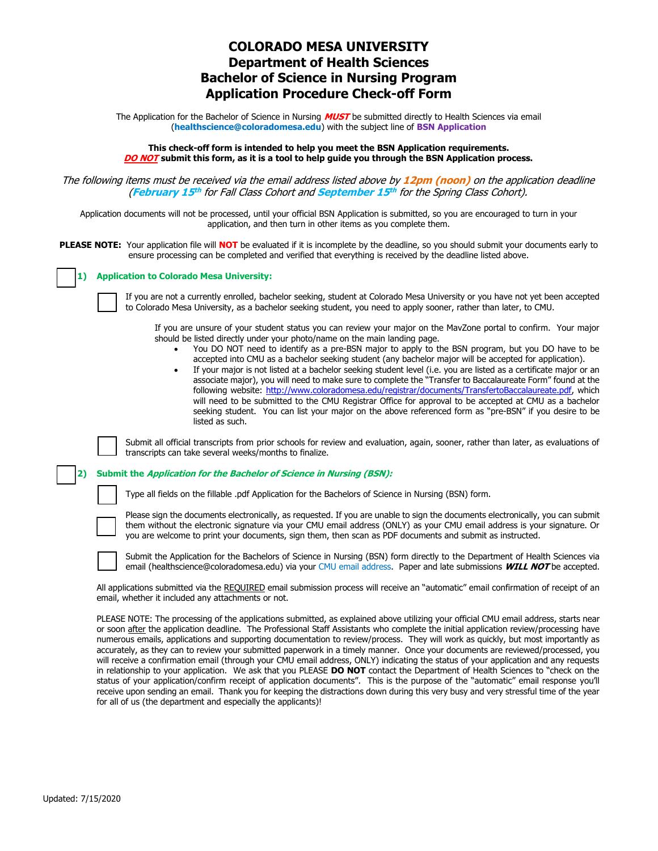# **COLORADO MESA UNIVERSITY Department of Health Sciences Bachelor of Science in Nursing Program Application Procedure Check-off Form**

The Application for the Bachelor of Science in Nursing **MUST** be submitted directly to Health Sciences via email (**[healthscience@coloradomesa.edu](mailto:rdphilli@coloradomesa.edu)**) with the subject line of **BSN Application**

**This check-off form is intended to help you meet the BSN Application requirements. DO NOT submit this form, as it is a tool to help guide you through the BSN Application process.** 

The following items must be received via the email address listed above by **12pm (noon)** on the application deadline (**February 15 th** for Fall Class Cohort and **September 15 th** for the Spring Class Cohort).

Application documents will not be processed, until your official BSN Application is submitted, so you are encouraged to turn in your application, and then turn in other items as you complete them.

**PLEASE NOTE:** Your application file will **NOT** be evaluated if it is incomplete by the deadline, so you should submit your documents early to ensure processing can be completed and verified that everything is received by the deadline listed above.

| 1) Application to Colorado Mesa University: |
|---------------------------------------------|
|---------------------------------------------|

If you are not a currently enrolled, bachelor seeking, student at Colorado Mesa University or you have not yet been accepted to Colorado Mesa University, as a bachelor seeking student, you need to apply sooner, rather than later, to CMU.

If you are unsure of your student status you can review your major on the MavZone portal to confirm. Your major should be listed directly under your photo/name on the main landing page.

- You DO NOT need to identify as a pre-BSN major to apply to the BSN program, but you DO have to be accepted into CMU as a bachelor seeking student (any bachelor major will be accepted for application).
- If your major is not listed at a bachelor seeking student level (i.e. you are listed as a certificate major or an associate major), you will need to make sure to complete the "Transfer to Baccalaureate Form" found at the following website: [http://www.coloradomesa.edu/registrar/documents/TransfertoBaccalaureate.pdf,](http://www.coloradomesa.edu/registrar/documents/TransfertoBaccalaureate.pdf) which will need to be submitted to the CMU Registrar Office for approval to be accepted at CMU as a bachelor seeking student. You can list your major on the above referenced form as "pre-BSN" if you desire to be listed as such.



Submit all official transcripts from prior schools for review and evaluation, again, sooner, rather than later, as evaluations of transcripts can take several weeks/months to finalize.

#### **2) Submit the Application for the Bachelor of Science in Nursing (BSN):**

Type all fields on the fillable .pdf Application for the Bachelors of Science in Nursing (BSN) form.



Please sign the documents electronically, as requested. If you are unable to sign the documents electronically, you can submit them without the electronic signature via your CMU email address (ONLY) as your CMU email address is your signature. Or you are welcome to print your documents, sign them, then scan as PDF documents and submit as instructed.



Submit the Application for the Bachelors of Science in Nursing (BSN) form directly to the Department of Health Sciences via email [\(healthscience@coloradomesa.edu\)](mailto:rdphilli@coloradomesa.edu) via your CMU email address. Paper and late submissions **WILL NOT** be accepted.

All applications submitted via the REQUIRED email submission process will receive an "automatic" email confirmation of receipt of an email, whether it included any attachments or not.

PLEASE NOTE: The processing of the applications submitted, as explained above utilizing your official CMU email address, starts near or soon after the application deadline. The Professional Staff Assistants who complete the initial application review/processing have numerous emails, applications and supporting documentation to review/process. They will work as quickly, but most importantly as accurately, as they can to review your submitted paperwork in a timely manner. Once your documents are reviewed/processed, you will receive a confirmation email (through your CMU email address, ONLY) indicating the status of your application and any requests in relationship to your application. We ask that you PLEASE **DO NOT** contact the Department of Health Sciences to "check on the status of your application/confirm receipt of application documents". This is the purpose of the "automatic" email response you'll receive upon sending an email. Thank you for keeping the distractions down during this very busy and very stressful time of the year for all of us (the department and especially the applicants)!